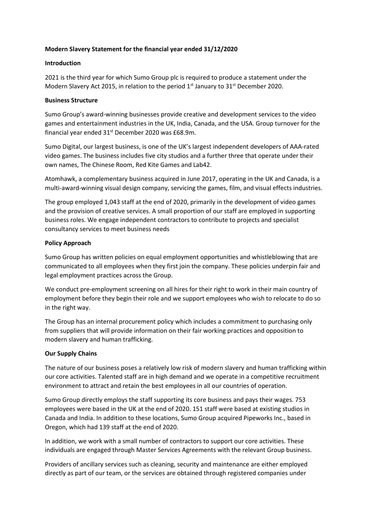### **Modern Slavery Statement for the financial year ended 31/12/2020**

#### **Introduction**

2021 is the third year for which Sumo Group plc is required to produce a statement under the Modern Slavery Act 2015, in relation to the period  $1<sup>st</sup>$  January to  $31<sup>st</sup>$  December 2020.

### **Business Structure**

Sumo Group's award-winning businesses provide creative and development services to the video games and entertainment industries in the UK, India, Canada, and the USA. Group turnover for the financial year ended 31st December 2020 was £68.9m.

Sumo Digital, our largest business, is one of the UK's largest independent developers of AAA-rated video games. The business includes five city studios and a further three that operate under their own names, The Chinese Room, Red Kite Games and Lab42.

Atomhawk, a complementary business acquired in June 2017, operating in the UK and Canada, is a multi-award-winning visual design company, servicing the games, film, and visual effects industries.

The group employed 1,043 staff at the end of 2020, primarily in the development of video games and the provision of creative services. A small proportion of our staff are employed in supporting business roles. We engage independent contractors to contribute to projects and specialist consultancy services to meet business needs

### **Policy Approach**

Sumo Group has written policies on equal employment opportunities and whistleblowing that are communicated to all employees when they first join the company. These policies underpin fair and legal employment practices across the Group.

We conduct pre-employment screening on all hires for their right to work in their main country of employment before they begin their role and we support employees who wish to relocate to do so in the right way.

The Group has an internal procurement policy which includes a commitment to purchasing only from suppliers that will provide information on their fair working practices and opposition to modern slavery and human trafficking.

# **Our Supply Chains**

The nature of our business poses a relatively low risk of modern slavery and human trafficking within our core activities. Talented staff are in high demand and we operate in a competitive recruitment environment to attract and retain the best employees in all our countries of operation.

Sumo Group directly employs the staff supporting its core business and pays their wages. 753 employees were based in the UK at the end of 2020. 151 staff were based at existing studios in Canada and India. In addition to these locations, Sumo Group acquired Pipeworks Inc., based in Oregon, which had 139 staff at the end of 2020.

In addition, we work with a small number of contractors to support our core activities. These individuals are engaged through Master Services Agreements with the relevant Group business.

Providers of ancillary services such as cleaning, security and maintenance are either employed directly as part of our team, or the services are obtained through registered companies under